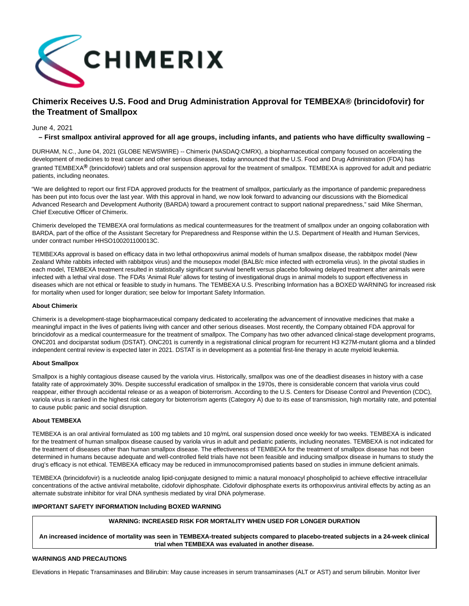

# **Chimerix Receives U.S. Food and Drug Administration Approval for TEMBEXA® (brincidofovir) for the Treatment of Smallpox**

# June 4, 2021

# **– First smallpox antiviral approved for all age groups, including infants, and patients who have difficulty swallowing –**

DURHAM, N.C., June 04, 2021 (GLOBE NEWSWIRE) -- Chimerix (NASDAQ:CMRX), a biopharmaceutical company focused on accelerating the development of medicines to treat cancer and other serious diseases, today announced that the U.S. Food and Drug Administration (FDA) has granted TEMBEXA**®** (brincidofovir) tablets and oral suspension approval for the treatment of smallpox. TEMBEXA is approved for adult and pediatric patients, including neonates.

"We are delighted to report our first FDA approved products for the treatment of smallpox, particularly as the importance of pandemic preparedness has been put into focus over the last year. With this approval in hand, we now look forward to advancing our discussions with the Biomedical Advanced Research and Development Authority (BARDA) toward a procurement contract to support national preparedness," said Mike Sherman, Chief Executive Officer of Chimerix.

Chimerix developed the TEMBEXA oral formulations as medical countermeasures for the treatment of smallpox under an ongoing collaboration with BARDA, part of the office of the Assistant Secretary for Preparedness and Response within the U.S. Department of Health and Human Services, under contract number HHSO100201100013C.

TEMBEXA's approval is based on efficacy data in two lethal orthopoxvirus animal models of human smallpox disease, the rabbitpox model (New Zealand White rabbits infected with rabbitpox virus) and the mousepox model (BALB/c mice infected with ectromelia virus). In the pivotal studies in each model, TEMBEXA treatment resulted in statistically significant survival benefit versus placebo following delayed treatment after animals were infected with a lethal viral dose. The FDA's 'Animal Rule' allows for testing of investigational drugs in animal models to support effectiveness in diseases which are not ethical or feasible to study in humans. The TEMBEXA U.S. Prescribing Information has a BOXED WARNING for increased risk for mortality when used for longer duration; see below for Important Safety Information.

## **About Chimerix**

Chimerix is a development-stage biopharmaceutical company dedicated to accelerating the advancement of innovative medicines that make a meaningful impact in the lives of patients living with cancer and other serious diseases. Most recently, the Company obtained FDA approval for brincidofovir as a medical countermeasure for the treatment of smallpox. The Company has two other advanced clinical-stage development programs, ONC201 and dociparstat sodium (DSTAT). ONC201 is currently in a registrational clinical program for recurrent H3 K27M-mutant glioma and a blinded independent central review is expected later in 2021. DSTAT is in development as a potential first-line therapy in acute myeloid leukemia.

## **About Smallpox**

Smallpox is a highly contagious disease caused by the variola virus. Historically, smallpox was one of the deadliest diseases in history with a case fatality rate of approximately 30%. Despite successful eradication of smallpox in the 1970s, there is considerable concern that variola virus could reappear, either through accidental release or as a weapon of bioterrorism. According to the U.S. Centers for Disease Control and Prevention (CDC), variola virus is ranked in the highest risk category for bioterrorism agents (Category A) due to its ease of transmission, high mortality rate, and potential to cause public panic and social disruption.

## **About TEMBEXA**

TEMBEXA is an oral antiviral formulated as 100 mg tablets and 10 mg/mL oral suspension dosed once weekly for two weeks. TEMBEXA is indicated for the treatment of human smallpox disease caused by variola virus in adult and pediatric patients, including neonates. TEMBEXA is not indicated for the treatment of diseases other than human smallpox disease. The effectiveness of TEMBEXA for the treatment of smallpox disease has not been determined in humans because adequate and well-controlled field trials have not been feasible and inducing smallpox disease in humans to study the drug's efficacy is not ethical. TEMBEXA efficacy may be reduced in immunocompromised patients based on studies in immune deficient animals.

TEMBEXA (brincidofovir) is a nucleotide analog lipid-conjugate designed to mimic a natural monoacyl phospholipid to achieve effective intracellular concentrations of the active antiviral metabolite, cidofovir diphosphate. Cidofovir diphosphate exerts its orthopoxvirus antiviral effects by acting as an alternate substrate inhibitor for viral DNA synthesis mediated by viral DNA polymerase.

## **IMPORTANT SAFETY INFORMATION Including BOXED WARNING**

## **WARNING: INCREASED RISK FOR MORTALITY WHEN USED FOR LONGER DURATION**

**An increased incidence of mortality was seen in TEMBEXA-treated subjects compared to placebo-treated subjects in a 24-week clinical trial when TEMBEXA was evaluated in another disease.**

## **WARNINGS AND PRECAUTIONS**

Elevations in Hepatic Transaminases and Bilirubin: May cause increases in serum transaminases (ALT or AST) and serum bilirubin. Monitor liver